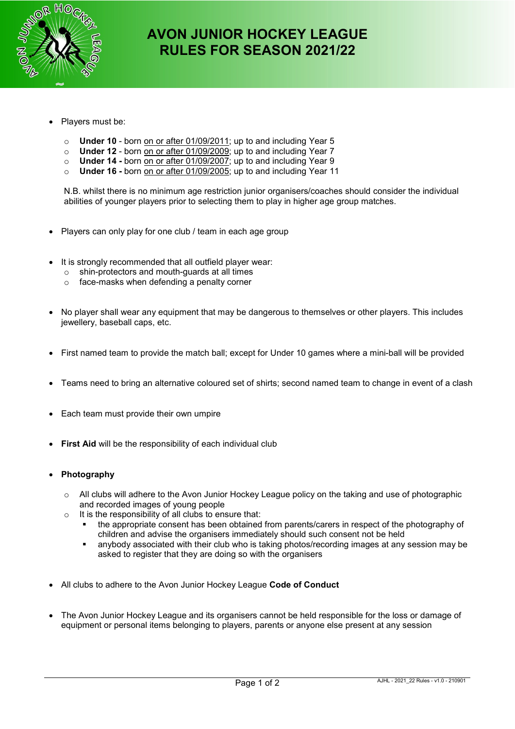

# **AVON JUNIOR HOCKEY LEAGUE RULES FOR SEASON 2021/22**

- Players must be:
	- o **Under 10** born on or after 01/09/2011; up to and including Year 5
	- o **Under 12** born on or after 01/09/2009; up to and including Year 7
	- o **Under 14** born on or after 01/09/2007; up to and including Year 9
	- o **Under 16** born on or after 01/09/2005; up to and including Year 11

N.B. whilst there is no minimum age restriction junior organisers/coaches should consider the individual abilities of younger players prior to selecting them to play in higher age group matches.

- Players can only play for one club / team in each age group
- It is strongly recommended that all outfield player wear:
	- o shin-protectors and mouth-guards at all times
	- o face-masks when defending a penalty corner
- No player shall wear any equipment that may be dangerous to themselves or other players. This includes jewellery, baseball caps, etc.
- First named team to provide the match ball; except for Under 10 games where a mini-ball will be provided
- Teams need to bring an alternative coloured set of shirts; second named team to change in event of a clash
- Each team must provide their own umpire
- **First Aid** will be the responsibility of each individual club
- **Photography** 
	- $\circ$  All clubs will adhere to the Avon Junior Hockey League policy on the taking and use of photographic and recorded images of young people
	- $\circ$  It is the responsibility of all clubs to ensure that:
		- the appropriate consent has been obtained from parents/carers in respect of the photography of children and advise the organisers immediately should such consent not be held
		- anybody associated with their club who is taking photos/recording images at any session may be asked to register that they are doing so with the organisers
- All clubs to adhere to the Avon Junior Hockey League **Code of Conduct**
- The Avon Junior Hockey League and its organisers cannot be held responsible for the loss or damage of equipment or personal items belonging to players, parents or anyone else present at any session